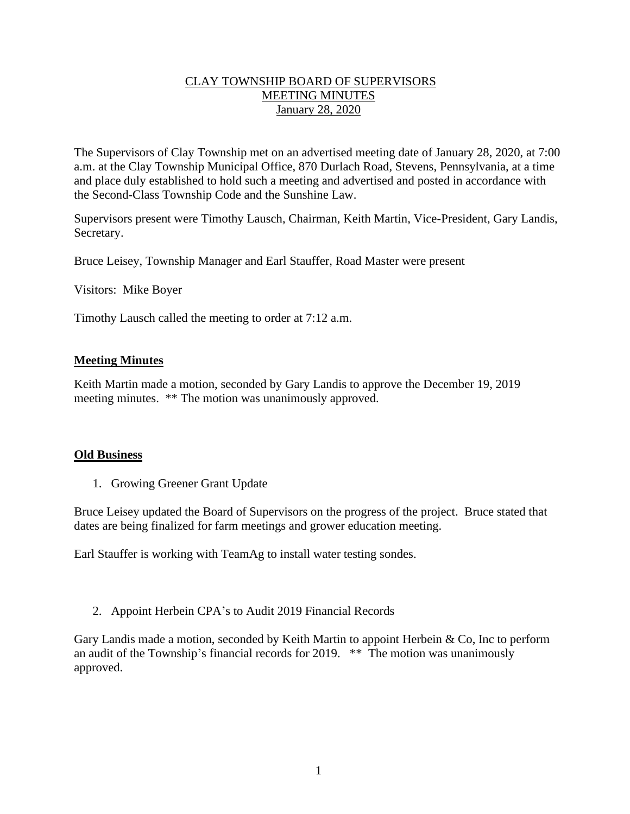## CLAY TOWNSHIP BOARD OF SUPERVISORS MEETING MINUTES January 28, 2020

The Supervisors of Clay Township met on an advertised meeting date of January 28, 2020, at 7:00 a.m. at the Clay Township Municipal Office, 870 Durlach Road, Stevens, Pennsylvania, at a time and place duly established to hold such a meeting and advertised and posted in accordance with the Second-Class Township Code and the Sunshine Law.

Supervisors present were Timothy Lausch, Chairman, Keith Martin, Vice-President, Gary Landis, Secretary.

Bruce Leisey, Township Manager and Earl Stauffer, Road Master were present

Visitors: Mike Boyer

Timothy Lausch called the meeting to order at 7:12 a.m.

## **Meeting Minutes**

Keith Martin made a motion, seconded by Gary Landis to approve the December 19, 2019 meeting minutes. \*\* The motion was unanimously approved.

#### **Old Business**

1. Growing Greener Grant Update

Bruce Leisey updated the Board of Supervisors on the progress of the project. Bruce stated that dates are being finalized for farm meetings and grower education meeting.

Earl Stauffer is working with TeamAg to install water testing sondes.

2. Appoint Herbein CPA's to Audit 2019 Financial Records

Gary Landis made a motion, seconded by Keith Martin to appoint Herbein & Co, Inc to perform an audit of the Township's financial records for 2019. \*\* The motion was unanimously approved.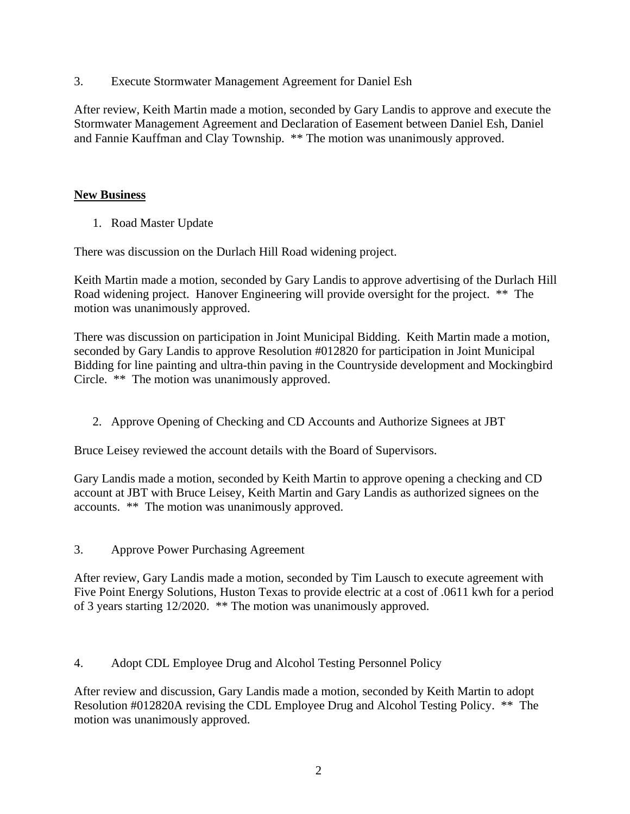3. Execute Stormwater Management Agreement for Daniel Esh

After review, Keith Martin made a motion, seconded by Gary Landis to approve and execute the Stormwater Management Agreement and Declaration of Easement between Daniel Esh, Daniel and Fannie Kauffman and Clay Township. \*\* The motion was unanimously approved.

# **New Business**

1. Road Master Update

There was discussion on the Durlach Hill Road widening project.

Keith Martin made a motion, seconded by Gary Landis to approve advertising of the Durlach Hill Road widening project. Hanover Engineering will provide oversight for the project. \*\* The motion was unanimously approved.

There was discussion on participation in Joint Municipal Bidding. Keith Martin made a motion, seconded by Gary Landis to approve Resolution #012820 for participation in Joint Municipal Bidding for line painting and ultra-thin paving in the Countryside development and Mockingbird Circle. \*\* The motion was unanimously approved.

2. Approve Opening of Checking and CD Accounts and Authorize Signees at JBT

Bruce Leisey reviewed the account details with the Board of Supervisors.

Gary Landis made a motion, seconded by Keith Martin to approve opening a checking and CD account at JBT with Bruce Leisey, Keith Martin and Gary Landis as authorized signees on the accounts. \*\* The motion was unanimously approved.

3. Approve Power Purchasing Agreement

After review, Gary Landis made a motion, seconded by Tim Lausch to execute agreement with Five Point Energy Solutions, Huston Texas to provide electric at a cost of .0611 kwh for a period of 3 years starting 12/2020. \*\* The motion was unanimously approved.

4. Adopt CDL Employee Drug and Alcohol Testing Personnel Policy

After review and discussion, Gary Landis made a motion, seconded by Keith Martin to adopt Resolution #012820A revising the CDL Employee Drug and Alcohol Testing Policy. \*\* The motion was unanimously approved.